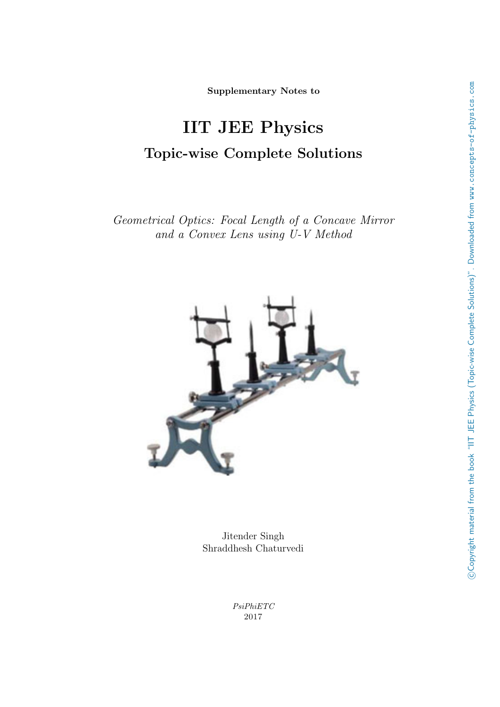Supplementary Notes to

# IIT JEE Physics Topic-wise Complete Solutions

Geometrical Optics: Focal Length of a Concave Mirror and a Convex Lens using U-V Method



Jitender Singh Shraddhesh Chaturvedi

> PsiPhiETC 2017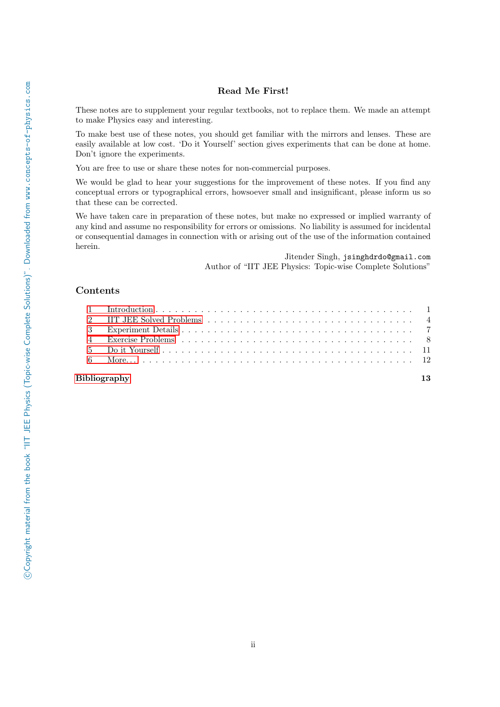## Read Me First!

These notes are to supplement your regular textbooks, not to replace them. We made an attempt to make Physics easy and interesting.

To make best use of these notes, you should get familiar with the mirrors and lenses. These are easily available at low cost. 'Do it Yourself' section gives experiments that can be done at home. Don't ignore the experiments.

You are free to use or share these notes for non-commercial purposes.

We would be glad to hear your suggestions for the improvement of these notes. If you find any conceptual errors or typographical errors, howsoever small and insignificant, please inform us so that these can be corrected.

We have taken care in preparation of these notes, but make no expressed or implied warranty of any kind and assume no responsibility for errors or omissions. No liability is assumed for incidental or consequential damages in connection with or arising out of the use of the information contained herein.

> Jitender Singh, jsinghdrdo@gmail.com Author of "IIT JEE Physics: Topic-wise Complete Solutions"

## Contents

## [Bibliography](#page-14-0) 13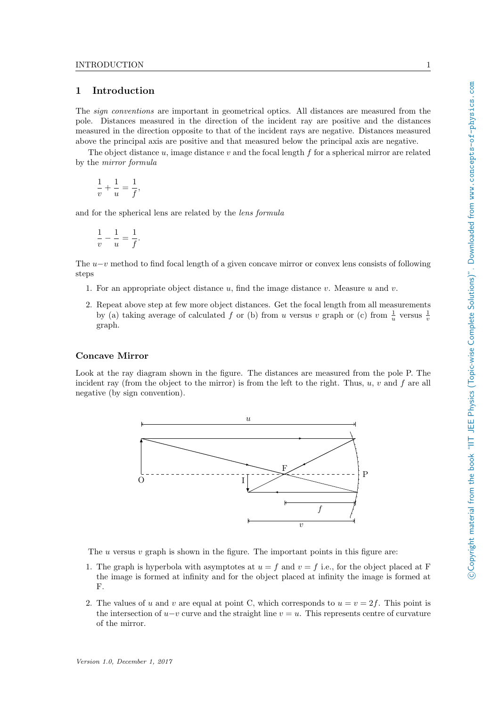## <span id="page-2-0"></span>1 Introduction

The sign conventions are important in geometrical optics. All distances are measured from the pole. Distances measured in the direction of the incident ray are positive and the distances measured in the direction opposite to that of the incident rays are negative. Distances measured above the principal axis are positive and that measured below the principal axis are negative.

The object distance  $u$ , image distance  $v$  and the focal length  $f$  for a spherical mirror are related by the mirror formula

$$
\frac{1}{v} + \frac{1}{u} = \frac{1}{f},
$$

and for the spherical lens are related by the lens formula

$$
\frac{1}{v} - \frac{1}{u} = \frac{1}{f}.
$$

The  $u-v$  method to find focal length of a given concave mirror or convex lens consists of following steps

- 1. For an appropriate object distance  $u$ , find the image distance  $v$ . Measure  $u$  and  $v$ .
- 2. Repeat above step at few more object distances. Get the focal length from all measurements by (a) taking average of calculated f or (b) from u versus v graph or (c) from  $\frac{1}{u}$  versus  $\frac{1}{v}$ graph.

## Concave Mirror

Look at the ray diagram shown in the figure. The distances are measured from the pole P. The incident ray (from the object to the mirror) is from the left to the right. Thus,  $u, v$  and  $f$  are all negative (by sign convention).



The  $u$  versus  $v$  graph is shown in the figure. The important points in this figure are:

- 1. The graph is hyperbola with asymptotes at  $u = f$  and  $v = f$  i.e., for the object placed at F the image is formed at infinity and for the object placed at infinity the image is formed at F.
- 2. The values of u and v are equal at point C, which corresponds to  $u = v = 2f$ . This point is the intersection of  $u-v$  curve and the straight line  $v = u$ . This represents centre of curvature of the mirror.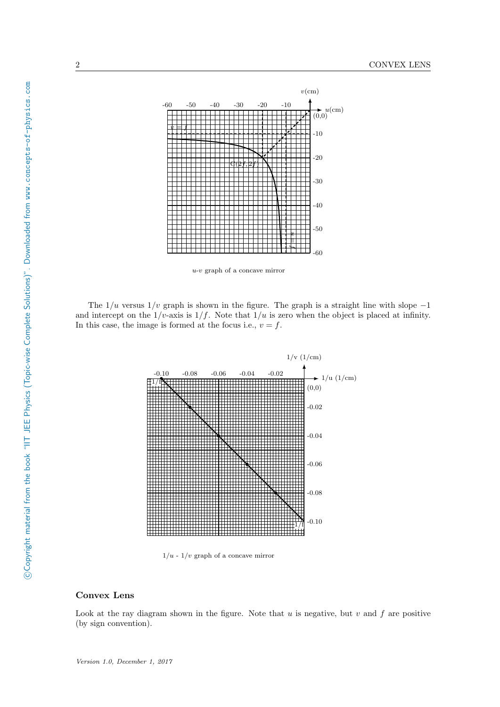

u-v graph of a concave mirror

The  $1/u$  versus  $1/v$  graph is shown in the figure. The graph is a straight line with slope  $-1$ and intercept on the  $1/v$ -axis is  $1/f$ . Note that  $1/u$  is zero when the object is placed at infinity. In this case, the image is formed at the focus i.e.,  $v = f$ .



 $1/u - 1/v$  graph of a concave mirror

#### Convex Lens

Look at the ray diagram shown in the figure. Note that  $u$  is negative, but  $v$  and  $f$  are positive (by sign convention).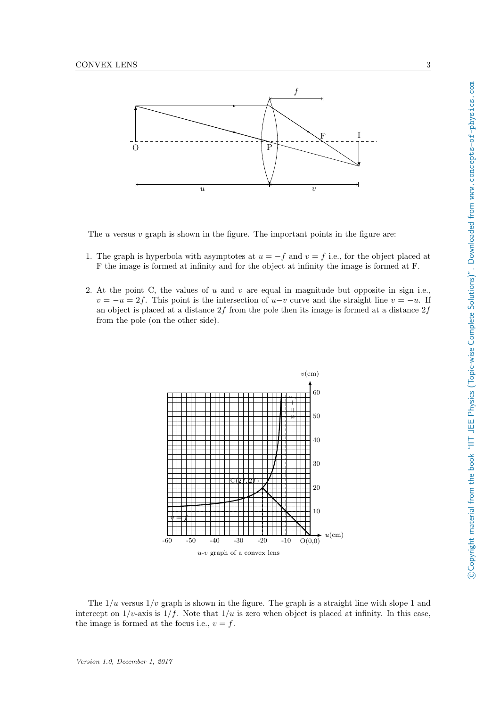

The  $u$  versus  $v$  graph is shown in the figure. The important points in the figure are:

- 1. The graph is hyperbola with asymptotes at  $u = -f$  and  $v = f$  i.e., for the object placed at F the image is formed at infinity and for the object at infinity the image is formed at F.
- 2. At the point C, the values of u and v are equal in magnitude but opposite in sign i.e.,  $v = -u = 2f$ . This point is the intersection of  $u-v$  curve and the straight line  $v = -u$ . If an object is placed at a distance  $2f$  from the pole then its image is formed at a distance  $2f$ from the pole (on the other side).



The  $1/u$  versus  $1/v$  graph is shown in the figure. The graph is a straight line with slope 1 and intercept on  $1/v$ -axis is  $1/f$ . Note that  $1/u$  is zero when object is placed at infinity. In this case, the image is formed at the focus i.e.,  $v = f$ .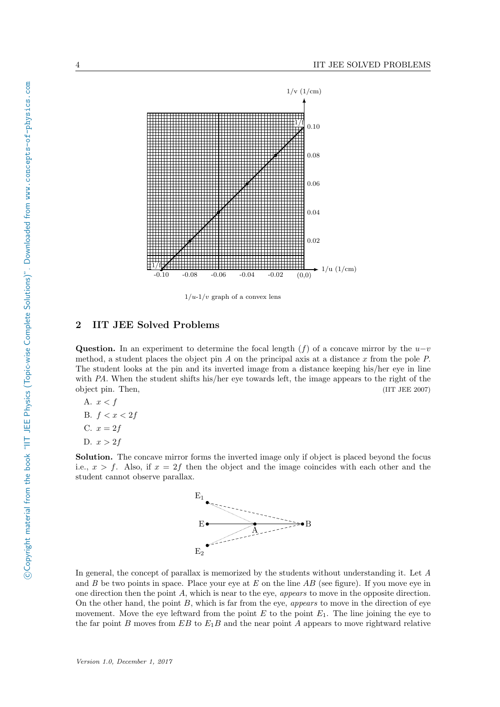

 $1/u-1/v$  graph of a convex lens

## <span id="page-5-0"></span>2 IIT JEE Solved Problems

Question. In an experiment to determine the focal length (f) of a concave mirror by the  $u-v$ method, a student places the object pin  $A$  on the principal axis at a distance  $x$  from the pole  $P$ . The student looks at the pin and its inverted image from a distance keeping his/her eye in line with PA. When the student shifts his/her eye towards left, the image appears to the right of the object pin. Then, (IIT JEE 2007)

A. 
$$
x < f
$$
\nB.  $f < x < 2f$ \nC.  $x = 2f$ \nD.  $x > 2f$ 

Solution. The concave mirror forms the inverted image only if object is placed beyond the focus i.e.,  $x > f$ . Also, if  $x = 2f$  then the object and the image coincides with each other and the student cannot observe parallax.



In general, the concept of parallax is memorized by the students without understanding it. Let A and  $B$  be two points in space. Place your eye at  $E$  on the line  $AB$  (see figure). If you move eye in one direction then the point  $A$ , which is near to the eye, *appears* to move in the opposite direction. On the other hand, the point  $B$ , which is far from the eye, *appears* to move in the direction of eye movement. Move the eye leftward from the point  $E$  to the point  $E_1$ . The line joining the eye to the far point B moves from  $EB$  to  $E_1B$  and the near point A appears to move rightward relative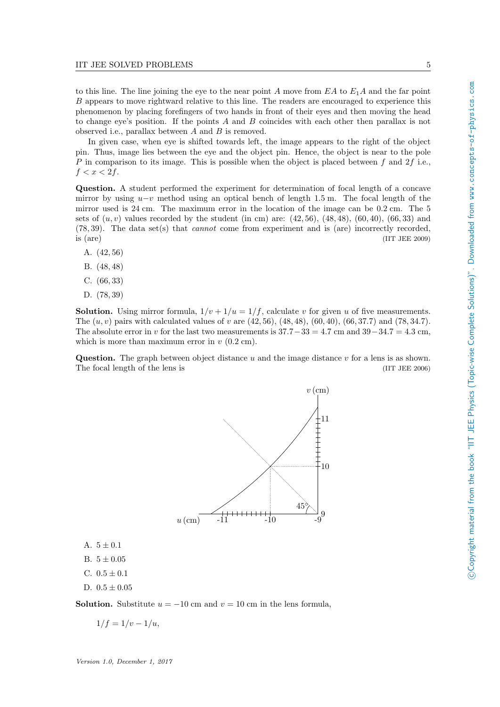to this line. The line joining the eye to the near point A move from  $EA$  to  $E_1A$  and the far point B appears to move rightward relative to this line. The readers are encouraged to experience this phenomenon by placing forefingers of two hands in front of their eyes and then moving the head to change eye's position. If the points A and B coincides with each other then parallax is not observed i.e., parallax between  $A$  and  $B$  is removed.

In given case, when eye is shifted towards left, the image appears to the right of the object pin. Thus, image lies between the eye and the object pin. Hence, the object is near to the pole P in comparison to its image. This is possible when the object is placed between f and  $2f$  i.e.,  $f < x < 2f$ .

Question. A student performed the experiment for determination of focal length of a concave mirror by using  $u-v$  method using an optical bench of length 1.5 m. The focal length of the mirror used is 24 cm. The maximum error in the location of the image can be 0.2 cm. The 5 sets of  $(u, v)$  values recorded by the student (in cm) are:  $(42, 56)$ ,  $(48, 48)$ ,  $(60, 40)$ ,  $(66, 33)$  and  $(78, 39)$ . The data set(s) that *cannot* come from experiment and is (are) incorrectly recorded. is (are) (IIT JEE 2009)

- A. (42, 56)
- B. (48, 48)
- C. (66, 33)
- D. (78, 39)

**Solution.** Using mirror formula,  $1/v + 1/u = 1/f$ , calculate v for given u of five measurements. The  $(u, v)$  pairs with calculated values of v are  $(42, 56)$ ,  $(48, 48)$ ,  $(60, 40)$ ,  $(66, 37.7)$  and  $(78, 34.7)$ . The absolute error in v for the last two measurements is  $37.7-33 = 4.7 \text{ cm}$  and  $39-34.7 = 4.3 \text{ cm}$ , which is more than maximum error in  $v(0.2 \text{ cm})$ .

**Question.** The graph between object distance u and the image distance v for a lens is as shown. The focal length of the lens is (IIT JEE 2006)



- A.  $5 \pm 0.1$
- B.  $5 \pm 0.05$
- C.  $0.5 \pm 0.1$
- D.  $0.5 \pm 0.05$

**Solution.** Substitute  $u = -10$  cm and  $v = 10$  cm in the lens formula,

$$
1/f = 1/v - 1/u,
$$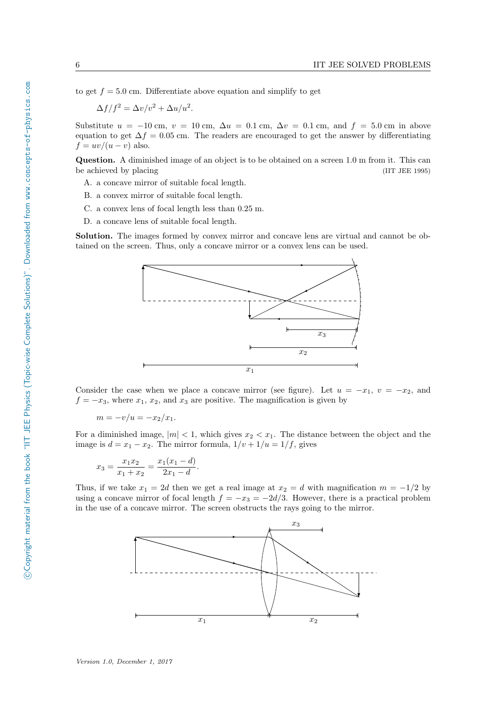to get  $f = 5.0$  cm. Differentiate above equation and simplify to get

$$
\Delta f/f^2 = \Delta v/v^2 + \Delta u/u^2.
$$

Substitute  $u = -10$  cm,  $v = 10$  cm,  $\Delta u = 0.1$  cm,  $\Delta v = 0.1$  cm, and  $f = 5.0$  cm in above equation to get  $\Delta f = 0.05$  cm. The readers are encouraged to get the answer by differentiating  $f = uv/(u - v)$  also.

Question. A diminished image of an object is to be obtained on a screen 1.0 m from it. This can be achieved by placing (IIT JEE 1995)

- A. a concave mirror of suitable focal length.
- B. a convex mirror of suitable focal length.
- C. a convex lens of focal length less than 0.25 m.
- D. a concave lens of suitable focal length.

Solution. The images formed by convex mirror and concave lens are virtual and cannot be obtained on the screen. Thus, only a concave mirror or a convex lens can be used.



Consider the case when we place a concave mirror (see figure). Let  $u = -x_1$ ,  $v = -x_2$ , and  $f = -x_3$ , where  $x_1, x_2$ , and  $x_3$  are positive. The magnification is given by

$$
m = -v/u = -x_2/x_1.
$$

For a diminished image,  $|m| < 1$ , which gives  $x_2 < x_1$ . The distance between the object and the image is  $d = x_1 - x_2$ . The mirror formula,  $1/v + 1/u = 1/f$ , gives

$$
x_3 = \frac{x_1 x_2}{x_1 + x_2} = \frac{x_1 (x_1 - d)}{2x_1 - d}.
$$

Thus, if we take  $x_1 = 2d$  then we get a real image at  $x_2 = d$  with magnification  $m = -1/2$  by using a concave mirror of focal length  $f = -x_3 = -2d/3$ . However, there is a practical problem in the use of a concave mirror. The screen obstructs the rays going to the mirror.

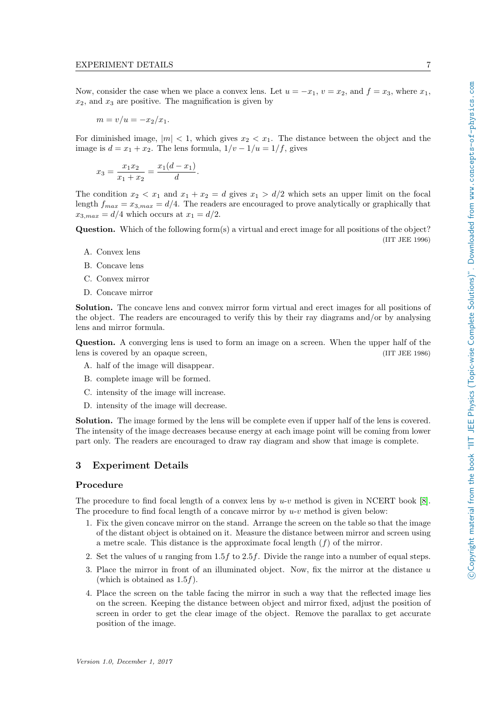Now, consider the case when we place a convex lens. Let  $u = -x_1$ ,  $v = x_2$ , and  $f = x_3$ , where  $x_1$ ,  $x_2$ , and  $x_3$  are positive. The magnification is given by

$$
m = v/u = -x_2/x_1.
$$

For diminished image,  $|m| < 1$ , which gives  $x_2 < x_1$ . The distance between the object and the image is  $d = x_1 + x_2$ . The lens formula,  $1/v - 1/u = 1/f$ , gives

$$
x_3 = \frac{x_1 x_2}{x_1 + x_2} = \frac{x_1 (d - x_1)}{d}.
$$

The condition  $x_2 < x_1$  and  $x_1 + x_2 = d$  gives  $x_1 > d/2$  which sets an upper limit on the focal length  $f_{max} = x_{3,max} = d/4$ . The readers are encouraged to prove analytically or graphically that  $x_{3,max} = d/4$  which occurs at  $x_1 = d/2$ .

Question. Which of the following form(s) a virtual and erect image for all positions of the object? (IIT JEE 1996)

- A. Convex lens
- B. Concave lens
- C. Convex mirror
- D. Concave mirror

Solution. The concave lens and convex mirror form virtual and erect images for all positions of the object. The readers are encouraged to verify this by their ray diagrams and/or by analysing lens and mirror formula.

Question. A converging lens is used to form an image on a screen. When the upper half of the lens is covered by an opaque screen, (IIT JEE 1986)

- A. half of the image will disappear.
- B. complete image will be formed.
- C. intensity of the image will increase.
- D. intensity of the image will decrease.

Solution. The image formed by the lens will be complete even if upper half of the lens is covered. The intensity of the image decreases because energy at each image point will be coming from lower part only. The readers are encouraged to draw ray diagram and show that image is complete.

## <span id="page-8-0"></span>3 Experiment Details

#### Procedure

The procedure to find focal length of a convex lens by  $u-v$  method is given in NCERT book [\[8\]](#page-14-1). The procedure to find focal length of a concave mirror by  $u-v$  method is given below:

- 1. Fix the given concave mirror on the stand. Arrange the screen on the table so that the image of the distant object is obtained on it. Measure the distance between mirror and screen using a metre scale. This distance is the approximate focal length  $(f)$  of the mirror.
- 2. Set the values of u ranging from  $1.5f$  to  $2.5f$ . Divide the range into a number of equal steps.
- 3. Place the mirror in front of an illuminated object. Now, fix the mirror at the distance  $u$ (which is obtained as  $1.5f$ ).
- 4. Place the screen on the table facing the mirror in such a way that the reflected image lies on the screen. Keeping the distance between object and mirror fixed, adjust the position of screen in order to get the clear image of the object. Remove the parallax to get accurate position of the image.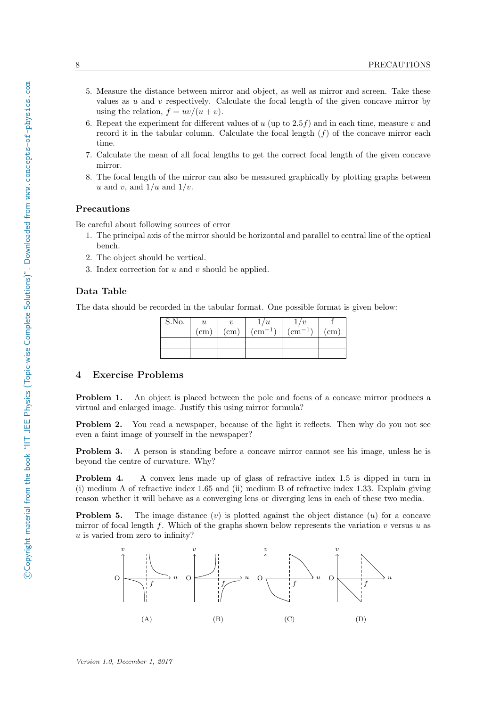- 5. Measure the distance between mirror and object, as well as mirror and screen. Take these values as  $u$  and  $v$  respectively. Calculate the focal length of the given concave mirror by using the relation,  $f = uv/(u + v)$ .
- 6. Repeat the experiment for different values of u (up to  $2.5f$ ) and in each time, measure v and record it in the tabular column. Calculate the focal length  $(f)$  of the concave mirror each time.
- 7. Calculate the mean of all focal lengths to get the correct focal length of the given concave mirror.
- 8. The focal length of the mirror can also be measured graphically by plotting graphs between u and v, and  $1/u$  and  $1/v$ .

#### Precautions

Be careful about following sources of error

- 1. The principal axis of the mirror should be horizontal and parallel to central line of the optical bench.
- 2. The object should be vertical.
- 3. Index correction for  $u$  and  $v$  should be applied.

## Data Table

The data should be recorded in the tabular format. One possible format is given below:

| $S.\overline{No}.$ | $\boldsymbol{u}$ |            | u             |                       |            |
|--------------------|------------------|------------|---------------|-----------------------|------------|
|                    | $\rm (cm)$       | $\rm (cm)$ | $\frac{1}{2}$ | $\sum_{n=1}^{\infty}$ | $\rm (cm)$ |
|                    |                  |            |               |                       |            |
|                    |                  |            |               |                       |            |

#### <span id="page-9-0"></span>4 Exercise Problems

**Problem 1.** An object is placed between the pole and focus of a concave mirror produces a virtual and enlarged image. Justify this using mirror formula?

**Problem 2.** You read a newspaper, because of the light it reflects. Then why do you not see even a faint image of yourself in the newspaper?

Problem 3. A person is standing before a concave mirror cannot see his image, unless he is beyond the centre of curvature. Why?

Problem 4. A convex lens made up of glass of refractive index 1.5 is dipped in turn in (i) medium A of refractive index 1.65 and (ii) medium B of refractive index 1.33. Explain giving reason whether it will behave as a converging lens or diverging lens in each of these two media.

**Problem 5.** The image distance  $(v)$  is plotted against the object distance  $(u)$  for a concave mirror of focal length f. Which of the graphs shown below represents the variation v versus u as  $u$  is varied from zero to infinity?

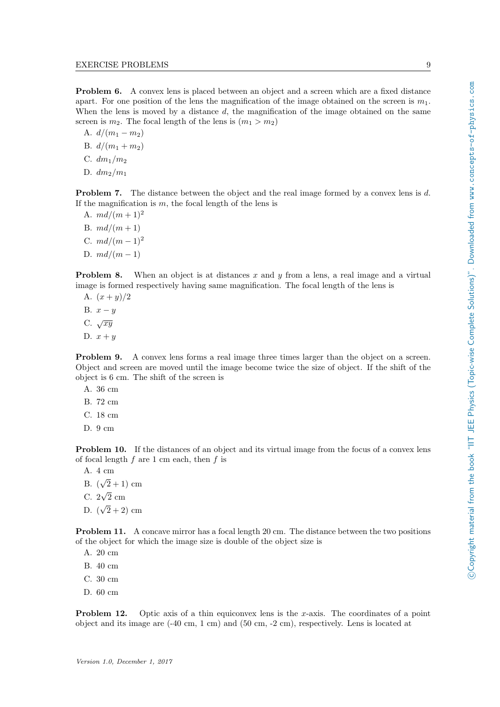Problem 6. A convex lens is placed between an object and a screen which are a fixed distance apart. For one position of the lens the magnification of the image obtained on the screen is  $m_1$ . When the lens is moved by a distance  $d$ , the magnification of the image obtained on the same screen is  $m_2$ . The focal length of the lens is  $(m_1 > m_2)$ 

A.  $d/(m_1 - m_2)$ B.  $d/(m_1 + m_2)$ C.  $dm_1/m_2$ D.  $dm_2/m_1$ 

**Problem 7.** The distance between the object and the real image formed by a convex lens is d. If the magnification is  $m$ , the focal length of the lens is

- A.  $md/(m+1)^2$
- B.  $md/(m+1)$
- C.  $md/(m-1)^2$
- D.  $md/(m-1)$

**Problem 8.** When an object is at distances x and y from a lens, a real image and a virtual image is formed respectively having same magnification. The focal length of the lens is

- A.  $(x + y)/2$
- B.  $x y$
- C.  $\sqrt{xy}$
- D.  $x + y$

Problem 9. A convex lens forms a real image three times larger than the object on a screen. Object and screen are moved until the image become twice the size of object. If the shift of the object is 6 cm. The shift of the screen is

- A. 36 cm
- B. 72 cm
- C. 18 cm
- D. 9 cm

Problem 10. If the distances of an object and its virtual image from the focus of a convex lens of focal length  $f$  are 1 cm each, then  $f$  is

- A. 4 cm √
- B. (  $(2+1)$  cm √
- C. 2 2 cm
- D. ( √  $(2 + 2)$  cm

Problem 11. A concave mirror has a focal length 20 cm. The distance between the two positions of the object for which the image size is double of the object size is

- A. 20 cm
- B. 40 cm
- C. 30 cm
- D. 60 cm

**Problem 12.** Optic axis of a thin equiconvex lens is the x-axis. The coordinates of a point object and its image are (-40 cm, 1 cm) and (50 cm, -2 cm), respectively. Lens is located at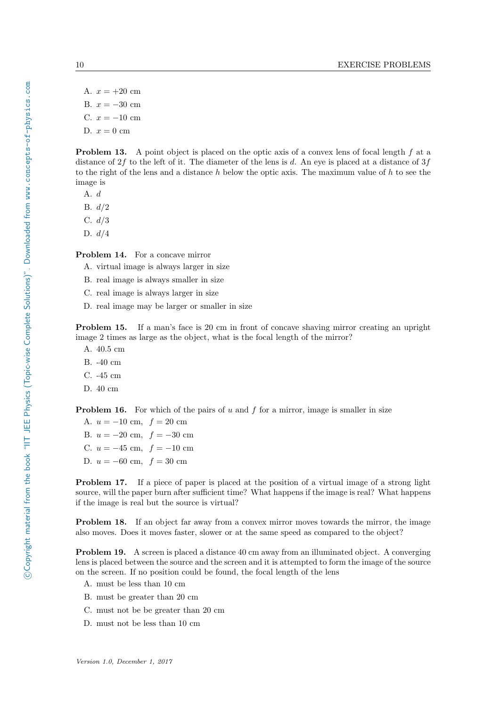A.  $x = +20$  cm B.  $x = -30$  cm C.  $x = -10$  cm D.  $x = 0$  cm

**Problem 13.** A point object is placed on the optic axis of a convex lens of focal length f at a distance of  $2f$  to the left of it. The diameter of the lens is d. An eye is placed at a distance of  $3f$ to the right of the lens and a distance h below the optic axis. The maximum value of h to see the image is

A. d

B. d/2

C. d/3

D.  $d/4$ 

Problem 14. For a concave mirror

A. virtual image is always larger in size

- B. real image is always smaller in size
- C. real image is always larger in size
- D. real image may be larger or smaller in size

Problem 15. If a man's face is 20 cm in front of concave shaving mirror creating an upright image 2 times as large as the object, what is the focal length of the mirror?

- A. 40.5 cm
- B. -40 cm
- C. -45 cm
- D. 40 cm

**Problem 16.** For which of the pairs of u and f for a mirror, image is smaller in size

A.  $u = -10$  cm,  $f = 20$  cm B.  $u = -20$  cm,  $f = -30$  cm C.  $u = -45$  cm,  $f = -10$  cm D.  $u = -60$  cm,  $f = 30$  cm

Problem 17. If a piece of paper is placed at the position of a virtual image of a strong light source, will the paper burn after sufficient time? What happens if the image is real? What happens if the image is real but the source is virtual?

Problem 18. If an object far away from a convex mirror moves towards the mirror, the image also moves. Does it moves faster, slower or at the same speed as compared to the object?

Problem 19. A screen is placed a distance 40 cm away from an illuminated object. A converging lens is placed between the source and the screen and it is attempted to form the image of the source on the screen. If no position could be found, the focal length of the lens

- A. must be less than 10 cm
- B. must be greater than 20 cm
- C. must not be be greater than 20 cm
- D. must not be less than 10 cm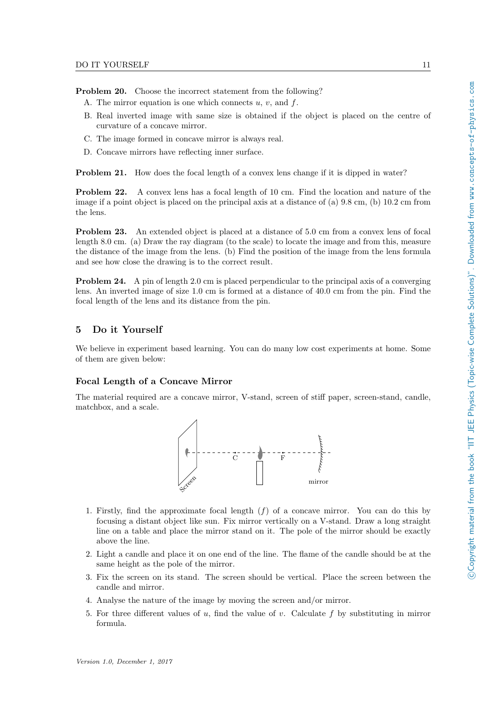Problem 20. Choose the incorrect statement from the following?

- A. The mirror equation is one which connects  $u, v$ , and  $f$ .
- B. Real inverted image with same size is obtained if the object is placed on the centre of curvature of a concave mirror.
- C. The image formed in concave mirror is always real.
- D. Concave mirrors have reflecting inner surface.

**Problem 21.** How does the focal length of a convex lens change if it is dipped in water?

Problem 22. A convex lens has a focal length of 10 cm. Find the location and nature of the image if a point object is placed on the principal axis at a distance of (a) 9.8 cm, (b) 10.2 cm from the lens.

Problem 23. An extended object is placed at a distance of 5.0 cm from a convex lens of focal length 8.0 cm. (a) Draw the ray diagram (to the scale) to locate the image and from this, measure the distance of the image from the lens. (b) Find the position of the image from the lens formula and see how close the drawing is to the correct result.

Problem 24. A pin of length 2.0 cm is placed perpendicular to the principal axis of a converging lens. An inverted image of size 1.0 cm is formed at a distance of 40.0 cm from the pin. Find the focal length of the lens and its distance from the pin.

# <span id="page-12-0"></span>5 Do it Yourself

We believe in experiment based learning. You can do many low cost experiments at home. Some of them are given below:

## Focal Length of a Concave Mirror

The material required are a concave mirror, V-stand, screen of stiff paper, screen-stand, candle, matchbox, and a scale.



- 1. Firstly, find the approximate focal length  $(f)$  of a concave mirror. You can do this by focusing a distant object like sun. Fix mirror vertically on a V-stand. Draw a long straight line on a table and place the mirror stand on it. The pole of the mirror should be exactly above the line.
- 2. Light a candle and place it on one end of the line. The flame of the candle should be at the same height as the pole of the mirror.
- 3. Fix the screen on its stand. The screen should be vertical. Place the screen between the candle and mirror.
- 4. Analyse the nature of the image by moving the screen and/or mirror.
- 5. For three different values of  $u$ , find the value of  $v$ . Calculate  $f$  by substituting in mirror formula.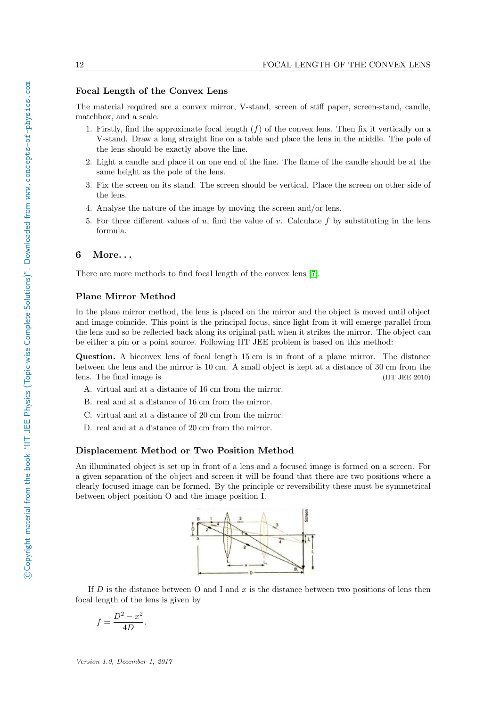#### Focal Length of the Convex Lens

The material required are a convex mirror, V-stand, screen of stiff paper, screen-stand, candle, matchbox, and a scale.

- 1. Firstly, find the approximate focal length  $(f)$  of the convex lens. Then fix it vertically on a V-stand. Draw a long straight line on a table and place the lens in the middle. The pole of the lens should be exactly above the line.
- 2. Light a candle and place it on one end of the line. The flame of the candle should be at the same height as the pole of the lens.
- 3. Fix the screen on its stand. The screen should be vertical. Place the screen on other side of the lens.
- 4. Analyse the nature of the image by moving the screen and/or lens.
- 5. For three different values of u, find the value of v. Calculate f by substituting in the lens formula.

## <span id="page-13-0"></span>6 More. . .

There are more methods to find focal length of the convex lens [\[7\]](#page-14-2).

#### Plane Mirror Method

In the plane mirror method, the lens is placed on the mirror and the object is moved until object and image coincide. This point is the principal focus, since light from it will emerge parallel from the lens and so be reflected back along its original path when it strikes the mirror. The object can be either a pin or a point source. Following IIT JEE problem is based on this method:

Question. A biconvex lens of focal length 15 cm is in front of a plane mirror. The distance between the lens and the mirror is 10 cm. A small object is kept at a distance of 30 cm from the lens. The final image is (IIT JEE 2010)

- A. virtual and at a distance of 16 cm from the mirror.
- B. real and at a distance of 16 cm from the mirror.
- C. virtual and at a distance of 20 cm from the mirror.
- D. real and at a distance of 20 cm from the mirror.

#### Displacement Method or Two Position Method

An illuminated object is set up in front of a lens and a focused image is formed on a screen. For a given separation of the object and screen it will be found that there are two positions where a clearly focused image can be formed. By the principle or reversibility these must be symmetrical between object position O and the image position I.



If  $D$  is the distance between  $O$  and I and  $x$  is the distance between two positions of lens then focal length of the lens is given by

$$
f = \frac{D^2 - x^2}{4D}.
$$